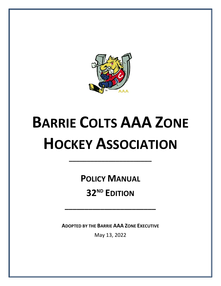

# **BARRIE COLTS AAA ZONE HOCKEY ASSOCIATION**

**POLICY MANUAL**

**\_\_\_\_\_\_\_\_\_\_\_\_\_\_\_\_\_\_\_\_\_\_\_**

**32 ND EDITION**

**\_\_\_\_\_\_\_\_\_\_\_\_\_\_\_\_\_\_\_\_\_\_\_**

**ADOPTED BY THE BARRIE AAA ZONE EXECUTIVE**

May 13, 2022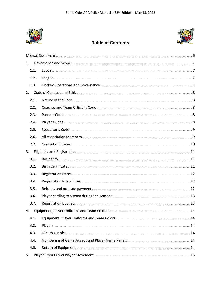

## **Table of Contents**



| 1.   |  |  |  |  |  |
|------|--|--|--|--|--|
| 1.1. |  |  |  |  |  |
| 1.2. |  |  |  |  |  |
| 1.3. |  |  |  |  |  |
|      |  |  |  |  |  |
| 2.1. |  |  |  |  |  |
| 2.2. |  |  |  |  |  |
| 2.3. |  |  |  |  |  |
| 2.4. |  |  |  |  |  |
| 2.5. |  |  |  |  |  |
| 2.6. |  |  |  |  |  |
| 2.7. |  |  |  |  |  |
| 3.   |  |  |  |  |  |
| 3.1. |  |  |  |  |  |
| 3.2. |  |  |  |  |  |
| 3.3. |  |  |  |  |  |
| 3.4. |  |  |  |  |  |
| 3.5. |  |  |  |  |  |
| 3.6. |  |  |  |  |  |
| 3.7. |  |  |  |  |  |
| 4.   |  |  |  |  |  |
| 4.1. |  |  |  |  |  |
| 4.2. |  |  |  |  |  |
| 4.3. |  |  |  |  |  |
| 4.4. |  |  |  |  |  |
| 4.5. |  |  |  |  |  |
| 5.   |  |  |  |  |  |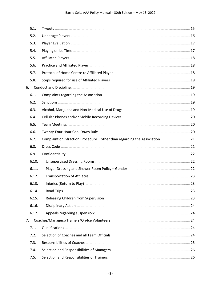|    | 5.1.  |                                                                              |  |
|----|-------|------------------------------------------------------------------------------|--|
|    | 5.2.  |                                                                              |  |
|    | 5.3.  |                                                                              |  |
|    | 5.4.  |                                                                              |  |
|    | 5.5.  |                                                                              |  |
|    | 5.6.  |                                                                              |  |
|    | 5.7.  |                                                                              |  |
|    | 5.8.  |                                                                              |  |
| 6. |       |                                                                              |  |
|    | 6.1.  |                                                                              |  |
|    | 6.2.  |                                                                              |  |
|    | 6.3.  |                                                                              |  |
|    | 6.4.  |                                                                              |  |
|    | 6.5.  |                                                                              |  |
|    | 6.6.  |                                                                              |  |
|    | 6.7.  | Complaint or Infraction Procedure – other than regarding the Association  21 |  |
|    | 6.8.  |                                                                              |  |
|    | 6.9.  |                                                                              |  |
|    | 6.10. |                                                                              |  |
|    | 6.11. |                                                                              |  |
|    | 6.12. |                                                                              |  |
|    | 6.13. |                                                                              |  |
|    | 6.14. |                                                                              |  |
|    | 6.15. |                                                                              |  |
|    | 6.16. |                                                                              |  |
|    | 6.17. |                                                                              |  |
| 7. |       |                                                                              |  |
|    | 7.1.  |                                                                              |  |
|    | 7.2.  |                                                                              |  |
|    | 7.3.  |                                                                              |  |
|    | 7.4.  |                                                                              |  |
|    | 7.5.  |                                                                              |  |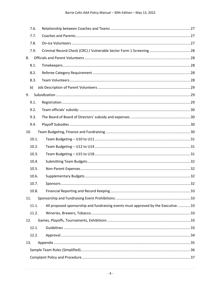|     | 7.6.  |                                                                                  |  |
|-----|-------|----------------------------------------------------------------------------------|--|
|     | 7.7.  |                                                                                  |  |
|     | 7.8.  |                                                                                  |  |
|     | 7.9.  |                                                                                  |  |
| 8.  |       |                                                                                  |  |
|     | 8.1.  |                                                                                  |  |
|     | 8.2.  |                                                                                  |  |
|     | 8.3.  |                                                                                  |  |
|     | b)    |                                                                                  |  |
| 9.  |       |                                                                                  |  |
|     | 9.1.  |                                                                                  |  |
|     | 9.2.  |                                                                                  |  |
|     | 9.3.  |                                                                                  |  |
|     | 9.4.  |                                                                                  |  |
| 10. |       |                                                                                  |  |
|     | 10.1. |                                                                                  |  |
|     | 10.2. |                                                                                  |  |
|     | 10.3. |                                                                                  |  |
|     | 10.4. |                                                                                  |  |
|     | 10.5. |                                                                                  |  |
|     | 10.6. |                                                                                  |  |
|     | 10.7. |                                                                                  |  |
|     | 10.8. |                                                                                  |  |
| 11. |       |                                                                                  |  |
|     | 11.1. | All proposed sponsorship and fundraising events must approved by the Executive33 |  |
|     | 11.2. |                                                                                  |  |
| 12. |       |                                                                                  |  |
|     | 12.1. |                                                                                  |  |
|     | 12.2. |                                                                                  |  |
| 13. |       |                                                                                  |  |
|     |       |                                                                                  |  |
|     |       |                                                                                  |  |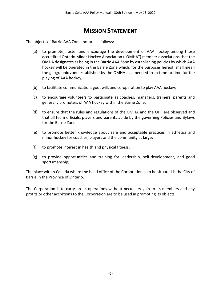## **MISSION STATEMENT**

<span id="page-5-0"></span>The objects of Barrie AAA Zone Inc. are as follows:

- (a) to promote, foster and encourage the development of AAA hockey among those accredited Ontario Minor Hockey Association ("OMHA") member associations that the OMHA designates as being in the Barrie AAA Zone by establishing policies by which AAA hockey will be operated in the Barrie Zone which, for the purposes hereof, shall mean the geographic zone established by the OMHA as amended from time to time for the playing of AAA hockey;
- (b) to facilitate communication, goodwill, and co-operation to play AAA hockey;
- (c) to encourage volunteers to participate as coaches, managers, trainers, parents and generally promoters of AAA hockey within the Barrie Zone;
- (d) to ensure that the rules and regulations of the OMHA and the OHF are observed and that all team officials, players and parents abide by the governing Policies and Bylaws for the Barrie Zone;
- (e) to promote better knowledge about safe and acceptable practices in athletics and minor hockey for coaches, players and the community at large;
- (f) to promote interest in health and physical fitness;
- (g) to provide opportunities and training for leadership, self-development, and good sportsmanship;

The place within Canada where the head office of the Corporation is to be situated is the City of Barrie in the Province of Ontario.

The Corporation is to carry on its operations without pecuniary gain to its members and any profits or other accretions to the Corporation are to be used in promoting its objects.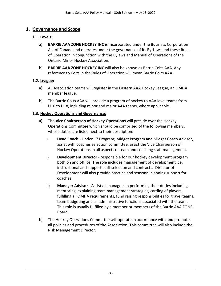## <span id="page-6-1"></span><span id="page-6-0"></span>**1. Governance and Scope**

#### **1.1. Levels:**

- a) **BARRIE AAA ZONE HOCKEY INC** is incorporated under the Business Corporation Act of Canada and operates under the governance of its By-Laws and these Rules of Operation in conjunction with the Bylaws and Manual of Operations of the Ontario Minor Hockey Association.
- b) **BARRIE AAA ZONE HOCKEY INC** will also be known as Barrie Colts AAA. Any reference to Colts in the Rules of Operation will mean Barrie Colts AAA.

#### <span id="page-6-2"></span>**1.2. League:**

- a) All Association teams will register in the Eastern AAA Hockey League, an OMHA member league.
- b) The Barrie Colts AAA will provide a program of hockey to AAA level teams from U10 to U18, including minor and major AAA teams, where applicable.

#### <span id="page-6-3"></span>**1.3. Hockey Operations and Governance:**

- a) The **Vice Chairperson of Hockey Operations** will preside over the Hockey Operations Committee which should be comprised of the following members, whose duties are listed next to their description:
	- i) **Head Coach** Under 17 Program; Midget Program and Midget Coach Advisor, assist with coaches selection committee, assist the Vice Chairperson of Hockey Operations in all aspects of team and coaching staff management.
	- ii) **Development Director** responsible for our hockey development program both on and off ice. The role includes management of development ice, instructional and support staff selection and contracts. Director of Development will also provide practice and seasonal planning support for coaches.
	- iii) **Manager Advisor**  Assist all managers in performing their duties including mentoring, explaining team management strategies, carding of players, fulfilling all OMHA requirements, fund raising responsibilities for travel teams, team budgeting and all administrative functions associated with the team. This role is usually fulfilled by a member or members of the Barrie AAA ZONE Board.
- b) The Hockey Operations Committee will operate in accordance with and promote all policies and procedures of the Association. This committee will also include the Risk Management Director.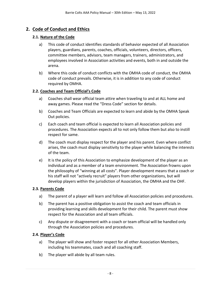## <span id="page-7-1"></span><span id="page-7-0"></span>**2. Code of Conduct and Ethics**

#### **2.1. Nature of the Code**

- a) This code of conduct identifies standards of behavior expected of all Association players, guardians, parents, coaches, officials, volunteers, directors, officers, committee members, advisors, team managers, trainers, administrators, and employees involved in Association activities and events, both in and outside the arena.
- b) Where this code of conduct conflicts with the OMHA code of conduct, the OMHA code of conduct prevails. Otherwise, it is in addition to any code of conduct required by OMHA.

#### <span id="page-7-2"></span>**2.2. Coaches and Team Official's Code**

- a) Coaches shall wear official team attire when traveling to and at ALL home and away games. Please read the "Dress Code" section for details.
- b) Coaches and Team Officials are expected to learn and abide by the OMHA Speak Out policies.
- c) Each coach and team official is expected to learn all Association policies and procedures. The Association expects all to not only follow them but also to instill respect for same.
- d) The coach must display respect for the player and his parent. Even where conflict arises, the coach must display sensitivity to the player while balancing the interests of the team.
- e) It is the policy of this Association to emphasize development of the player as an individual and as a member of a team environment. The Association frowns upon the philosophy of "winning at all costs". Player development means that a coach or his staff will not "actively recruit" players from other organizations, but will develop players within the jurisdiction of Association, the OMHA and the OHF.

#### <span id="page-7-3"></span>**2.3. Parents Code**

- a) The parent of a player will learn and follow all Association policies and procedures.
- b) The parent has a positive obligation to assist the coach and team officials in providing learning and skills development for their child. The parent must show respect for the Association and all team officials.
- c) Any dispute or disagreement with a coach or team official will be handled only through the Association policies and procedures.

#### <span id="page-7-4"></span>**2.4. Player's Code**

- a) The player will show and foster respect for all other Association Members, including his teammates, coach and all coaching staff.
- b) The player will abide by all team rules.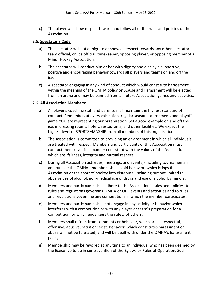c) The player will show respect toward and follow all of the rules and policies of the Association.

#### <span id="page-8-0"></span>**2.5. Spectator's Code**

- a) The spectator will not denigrate or show disrespect towards any other spectator, team official, on ice official, timekeeper, opposing player, or opposing member of a Minor Hockey Association.
- b) The spectator will conduct him or her with dignity and display a supportive, positive and encouraging behavior towards all players and teams on and off the ice.
- c) A spectator engaging in any kind of conduct which would constitute harassment within the meaning of the OMHA policy on Abuse and Harassment will be ejected from an arena and may be banned from all future Association games and activities.

#### <span id="page-8-1"></span>2.6. **All Association Members**:

- a) All players, coaching staff and parents shall maintain the highest standard of conduct. Remember, at every exhibition, regular season, tournament, and playoff game YOU are representing our organization. Set a good example on and off the ice, in dressing rooms, hotels, restaurants, and other facilities. We expect the highest level of SPORTSMANSHIP from all members of this organization.
- b) The Association is committed to providing an environment in which all individuals are treated with respect. Members and participants of this Association must conduct themselves in a manner consistent with the values of the Association, which are: fairness, integrity and mutual respect.
- c) During all Association activities, meetings, and events, (including tournaments in and outside the OMHA), members shall avoid behavior, which brings the Association or the sport of hockey into disrepute, including but not limited to abusive use of alcohol, non-medical use of drugs and use of alcohol by minors.
- d) Members and participants shall adhere to the Association's rules and policies, to rules and regulations governing OMHA or OHF events and activities and to rules and regulations governing any competitions in which the member participates.
- e) Members and participants shall not engage in any activity or behavior which interferes with a competition or with any player or team's preparation for a competition, or which endangers the safety of others.
- f) Members shall refrain from comments or behavior, which are disrespectful, offensive, abusive, racist or sexist. Behavior, which constitutes harassment or abuse will not be tolerated, and will be dealt with under the OMHA's harassment policy.
- g) Membership may be revoked at any time to an individual who has been deemed by the Executive to be in contravention of the Bylaws or Rules of Operation. Such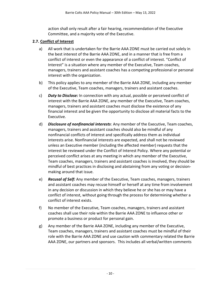action shall only result after a fair hearing, recommendation of the Executive Committee, and a majority vote of the Executive.

#### <span id="page-9-0"></span>**2.7. Conflict of Interest**

- a) All work that is undertaken for the Barrie AAA ZONE must be carried out solely in the best interest of the Barrie AAA ZONE, and in a manner that is free from a conflict of interest or even the appearance of a conflict of interest. "Conflict of Interest" is a situation where any member of the Executive, Team coaches, managers, trainers and assistant coaches has a competing professional or personal interest with the organization.
- b) This policy applies to any member of the Barrie AAA ZONE, including any member of the Executive, Team coaches, managers, trainers and assistant coaches.
- c) *Duty to Disclose:* In connection with any actual, possible or perceived conflict of interest with the Barrie AAA ZONE, any member of the Executive, Team coaches, managers, trainers and assistant coaches must disclose the existence of any financial interest and be given the opportunity to disclose all material facts to the Executive.
- d) *Disclosure of nonfinancial interests*: Any member of the Executive, Team coaches, managers, trainers and assistant coaches should also be mindful of any nonfinancial conflicts of interest and specifically address them as individual interests arise. Nonfinancial interests are expected, and shall not be reviewed unless an Executive member (including the affected member) requests that the interest be reviewed under the Conflict of Interest Policy. Where any potential or perceived conflict arises at any meeting in which any member of the Executive, Team coaches, managers, trainers and assistant coaches is involved, they should be mindful of best practices in disclosing and abstaining from any voting or decisionmaking around that issue.
- e) *Recusal of Self:* Any member of the Executive, Team coaches, managers, trainers and assistant coaches may recuse himself or herself at any time from involvement in any decision or discussion in which they believe he or she has or may have a conflict of interest, without going through the process for determining whether a conflict of interest exists.
- f) No member of the Executive, Team coaches, managers, trainers and assistant coaches shall use their role within the Barrie AAA ZONE to influence other or promote a business or product for personal gain.
- g) Any member of the Barrie AAA ZONE, including any member of the Executive, Team coaches, managers, trainers and assistant coaches must be mindful of their role with the Barrie AAA ZONE and use caution with commentary related the Barrie AAA ZONE, our partners and sponsors. This includes all verbal/written comments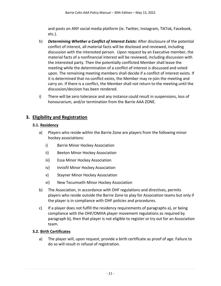and posts on ANY social media platform (ie. Twitter, Instagram, TikTok, Facebook, etc.).

- h) *Determining Whether a Conflict of Interest Exists:* After disclosure of the potential conflict of interest, all material facts will be disclosed and reviewed, including discussion with the interested person. Upon request by an Executive member, the material facts of a nonfinancial interest will be reviewed, including discussion with the interested party. Then the potentially conflicted Member shall leave the meeting while the determination of a conflict of interest is discussed and voted upon. The remaining meeting members shall decide if a conflict of interest exists. If it is determined that no conflict exists, the Member may re-join the meeting and carry on. If there is a conflict, the Member shall not return to the meeting until the discussion/decision has been rendered.
- i) There will be zero tolerance and any instance could result in suspensions, loss of honourarium, and/or termination from the Barrie AAA ZONE.

## <span id="page-10-1"></span><span id="page-10-0"></span>**3. Eligibility and Registration**

#### **3.1. Residency**

- a) Players who reside within the Barrie Zone are players from the following minor hockey associations:
	- i) Barrie Minor Hockey Association
	- ii) Beeton Minor Hockey Association
	- iii) Essa Minor Hockey Association
	- iv) Innisfil Minor Hockey Association
	- v) Stayner Minor Hockey Association
	- vi) New Tecumseth Minor Hockey Association
- b) The Association, in accordance with OHF regulations and directives, permits players who reside outside the Barrie Zone to play for Association teams but only if the player is in compliance with OHF policies and procedures.
- c) If a player does not fulfill the residency requirements of paragraphs a), or being compliance with the OHF/OMHA player movement regulations as required by paragraph b), then that player is not eligible to register or try out for an Association team.

#### <span id="page-10-2"></span>**3.2. Birth Certificates**

a) The player will, upon request, provide a birth certificate as proof of age. Failure to do so will result in refusal of registration.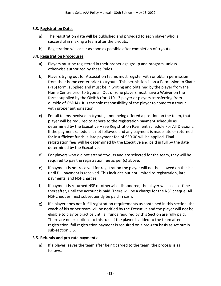#### <span id="page-11-0"></span>**3.3. Registration Dates**

- a) The registration date will be published and provided to each player who is successful in making a team after the tryouts.
- b) Registration will occur as soon as possible after completion of tryouts.

#### <span id="page-11-1"></span>**3.4. Registration Procedures**

- a) Players must be registered in their proper age group and program, unless otherwise authorized by these Rules.
- b) Players trying out for Association teams must register with or obtain permission from their home center prior to tryouts. This permission is on a Permission to Skate (PTS) form, supplied and must be in writing and obtained by the player from the Home Centre prior to tryouts. Out of zone players must have a Waiver on the forms supplied by the OMHA (for U10-13 player or players transferring from outside of OMHA). It is the sole responsibility of the player to come to a tryout with proper authorization.
- c) For all teams involved in tryouts, upon being offered a position on the team, that player will be required to adhere to the registration payment schedule as determined by the Executive – see Registration Payment Schedule For All Divisions. If the payment schedule is not followed and any payment is made late or returned for insufficient funds, a late payment fee of \$50.00 will be applied. Final registration fees will be determined by the Executive and paid in full by the date determined by the Executive.
- d) For players who did not attend tryouts and are selected for the team, they will be required to pay the registration fee as per (c) above.
- e) If payment is not received for registration the player will not be allowed on the ice until full payment is received. This includes but not limited to registration, late payments, and NSF charges.
- f) If payment is returned NSF or otherwise dishonored, the player will lose ice-time thereafter, until the account is paid. There will be a charge for the NSF cheque. All NSF cheques must subsequently be paid in cash.
- g) If a player does not fulfill registration requirements as contained in this section, the coach of his or her team will be notified by the Executive and the player will not be eligible to play or practice until all funds required by this Section are fully paid. There are no exceptions to this rule. If the player is added to the team after registration, full registration payment is required on a pro-rata basis as set out in sub-section 3.5.

#### <span id="page-11-2"></span>3.5. **Refunds and pro-rata payments**:

a) If a player leaves the team after being carded to the team, the process is as follows.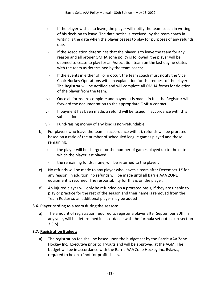- i) If the player wishes to leave, the player will notify the team coach in writing of his decision to leave. The date notice is received, by the team coach in writing is the date when the player ceases to play for purposes of any refunds due.
- ii) If the Association determines that the player is to leave the team for any reason and all proper OMHA zone policy is followed, the player will be deemed to cease to play for an Association team on the last day he skates with the team as determined by the team coach;
- iii) If the events in either of i or ii occur, the team coach must notify the Vice Chair Hockey Operations with an explanation for the request of the player. The Registrar will be notified and will complete all OMHA forms for deletion of the player from the team.
- iv) Once all forms are complete and payment is made, in full, the Registrar will forward the documentation to the appropriate OMHA contact.
- v) If payment has been made, a refund will be issued in accordance with this sub-section.
- vi) Fund-raising money of any kind is non-refundable.
- b) For players who leave the team in accordance with a), refunds will be prorated based on a ratio of the number of scheduled league games played and those remaining.
	- i) the player will be charged for the number of games played up to the date which the player last played.
	- ii) the remaining funds, if any, will be returned to the player.
- c) No refunds will be made to any player who leaves a team after December  $1^{st}$  for any reason. In addition, no refunds will be made until all Barrie AAA ZONE equipment is returned. The responsibility for this is on the player.
- d) An injured player will only be refunded on a prorated basis, if they are unable to play or practice for the rest of the season and their name is removed from the Team Roster so an additional player may be added

#### <span id="page-12-0"></span>**3.6. Player carding to a team during the season:**

a) The amount of registration required to register a player after September 30th in any year, will be determined in accordance with the formula set out in sub-section 3.5 b).

#### <span id="page-12-1"></span>**3.7. Registration Budget:**

a) The registration fee shall be based upon the budget set by the Barrie AAA Zone Hockey Inc. Executive prior to Tryouts and will be approved at the AGM. The budget will be in accordance with the Barrie AAA Zone Hockey Inc. Bylaws, required to be on a "not for profit" basis.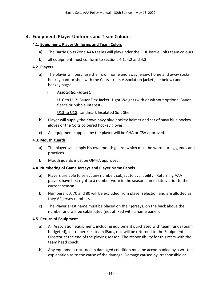## <span id="page-13-1"></span><span id="page-13-0"></span>**4. Equipment, Player Uniforms and Team Colours**

#### **4.1. Equipment, Player Uniforms and Team Colors**

- a) The Barrie Colts Zone AAA teams will play under the OHL Barrie Colts team colours.
- b) all equipment must conform to sections 4.1, 4.2 and 4.3

#### <span id="page-13-2"></span>**4.2. Players**

- a) The player will purchase their own home and away jersey, home and away socks, hockey pant or shell with the Colts stripe, Association jacket(see below) and hockey bags:
	- i) *Association Jacket*:

U10 to U12: Bauer Flex Jacket- Light Weight (with or without optional Bauer fleece or bubble interest).

U13 to U18: Landmark Insulated Soft Shell

- b) Player will supply their own navy blue hockey helmet and set of navy blue hockey gloves or the Colts coloured hockey gloves.
- c) All equipment supplied by the player will be CHA or CSA approved.

#### <span id="page-13-3"></span>**4.3. Mouth guards**

- a) The player will supply his own mouth guard, which must be worn during games and practices.
- b) Mouth guards must be OMHA approved.

#### <span id="page-13-4"></span>**4.4. Numbering of Game Jerseys and Player Name Panels**

- a) Players are able to select any number, subject to availability. Returning AAA players have first right to a number worn in the season immediately prior to the current season
- b) Numbers: 60, 70 and 80 will be excluded from player selection and are allotted as they AP jersey numbers.
- c) The Player's last name must be placed on their jerseys, on the back above the number and will be sublimated (not affixed with a name panel).

#### <span id="page-13-5"></span>**4.5. Return of Equipment**

- a) All Association equipment, including equipment purchased with team funds (team budgeted), ie. trainer kits, team iPads, etc. will be returned to the Equipment Director at the end of the playing season. The responsibility for this rests with the team head coach.
- b) Any equipment returned in damaged condition must be accompanied by a written explanation as to the cause of the damage. Damage caused by irresponsible or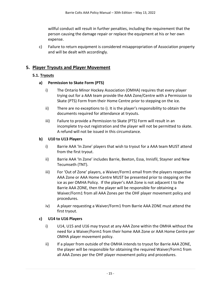willful conduct will result in further penalties, including the requirement that the person causing the damage repair or replace the equipment at his or her own expense.

c) Failure to return equipment is considered misappropriation of Association property and will be dealt with accordingly.

#### <span id="page-14-1"></span><span id="page-14-0"></span>**5. Player Tryouts and Player Movement**

#### **5.1. Tryouts**

#### **a) Permission to Skate Form (PTS)**

- i) The Ontario Minor Hockey Association (OMHA) requires that every player trying out for a AAA team provide the AAA Zone/Centre with a Permission to Skate (PTS) Form from their Home Centre prior to stepping on the ice.
- ii) There are no exceptions to i). It is the player's responsibility to obtain the documents required for attendance at tryouts.
- iii) Failure to provide a Permission to Skate (PTS) Form will result in an incomplete try-out registration and the player will not be permitted to skate. A refund will not be issued in this circumstance.

#### **b) U10 to U13 Players**

- i) Barrie AAA 'In Zone' players that wish to tryout for a AAA team MUST attend from the first tryout.
- ii) Barrie AAA 'In Zone' includes Barrie, Beeton, Essa, Innisfil, Stayner and New Tecumseth (TNT).
- iii) For 'Out of Zone' players, a Waiver/Form1 email from the players respective AAA Zone or AAA Home Centre MUST be presented prior to stepping on the ice as per OMHA Policy. If the player's AAA Zone is not adjacent t to the Barrie AAA ZONE, then the player will be responsible for obtaining a Waiver/Form1 from all AAA Zones per the OHF player movement policy and procedures.
- iv) A player requesting a Waiver/Form1 from Barrie AAA ZONE must attend the first tryout.

#### **c) U14 to U16 Players**

- i) U14, U15 and U16 may tryout at any AAA Zone within the OMHA without the need for a Waiver/Form1 from their home AAA Zone or AAA Home Centre per OMHA player movement policy.
- ii) If a player from outside of the OMHA intends to tryout for Barrie AAA ZONE, the player will be responsible for obtaining the required Waiver/Form1 from all AAA Zones per the OHF player movement policy and procedures.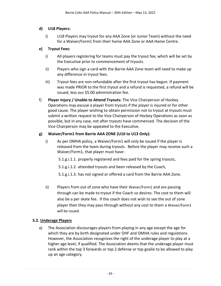#### **d) U18 Players:**

i) U18 Players may tryout for any AAA Zone (or Junior Team) without the need for a Waiver/Form1 from their home AAA Zone or AAA Home Centre.

#### **e) Tryout Fees:**

- i) All players registering for teams must pay the tryout fee, which will be set by the Executive prior to commencement of tryouts.
- ii) Players who sign a card with the Barrie AAA Zone team will need to make up any difference in tryout fees.
- iii) Tryout fees are non-refundable after the first tryout has begun. If payment was made PRIOR to the first tryout and a refund is requested, a refund will be issued, less our \$5.00 administration fee.
- f) **Player Injury / Unable to Attend Tryouts:** The Vice Chairperson of Hockey Operations may excuse a player from tryouts if the player is injured or for other good cause. The player wishing to obtain permission not to tryout at tryouts must submit a written request to the Vice Chairperson of Hockey Operations as soon as possible, but in any case, not after tryouts have commenced. The decision of the Vice Chairperson may be appealed to the Executive.

#### **g) Waiver/Form1 from Barrie AAA ZONE (U10 to U13 Only):**

- i) As per OMHA policy, a Waiver/Form1 will only be issued if the player is released from the team during tryouts. Before the player may receive such a Waiver/Form1, that player must have:
	- 5.1.g.i.1.1. properly registered and fees paid for the spring tryouts,
	- 5.1.g.i.1.2. attended tryouts and been released by the Coach,
	- 5.1.g.i.1.3. has not signed or offered a card from the Barrie AAA Zone.
- ii) Players from out of zone who have their Waiver/Form1 and are passing through can be made to tryout if the Coach so desires. The cost to them will also be a per skate fee. If the coach does not wish to see the out of zone player then they may pass through without any cost to them a Waiver/Form1 will be issued.

#### <span id="page-15-0"></span>**5.2. Underage Players**

a) The Association discourages players from playing in any age except the age for which they are by birth designated under OHF and OMHA rules and regulations. However, the Association recognizes the right of the underage player to play at a higher age level, if qualified. The Association deems that the underage player must rank within the top 3 forwards or top 2 defense or top goalie to be allowed to play up an age category.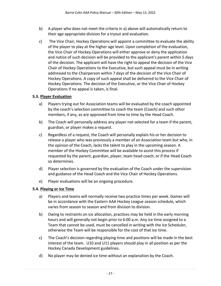- b) A player who does not meet the criteria in a) above will automatically return to their age appropriate division for a tryout and evaluation.
- c) The Vice Chair, Hockey Operations will appoint a committee to evaluate the ability of the player to play at the higher age level. Upon completion of the evaluation, the Vice Chair of Hockey Operations will either approve or deny the application and notice of such decision will be provided to the applicant's parent within 5 days of the decision. The applicant will have the right to appeal the decision of the Vice Chair of Hockey Operations to the Executive, but such appeal must be in writing addressed to the Chairperson within 7 days of the decision of the Vice Chair of Hockey Operations. A copy of such appeal shall be delivered to the Vice Chair of Hockey Operations. The decision of the Executive, or the Vice Chair of Hockey Operations if no appeal is taken, is final.

#### <span id="page-16-0"></span>**5.3. Player Evaluation**

- a) Players trying out for Association teams will be evaluated by the coach appointed by the coach's selection committee to coach the team (Coach) and such other members, if any, as are approved from time to time by the Head Coach.
- b) The Coach will personally address any player not selected for a team if the parent, guardian, or player makes a request.
- c) Regardless of a request, the Coach will personally explain his or her decision to release a player who was previously a member of an Association team but who, in the opinion of the Coach, lacks the talent to play in the upcoming season. A member of the Hockey Committee will be available to assist this process if requested by the parent, guardian, player, team head coach, or if the Head Coach so determines.
- d) Player selection is governed by the evaluation of the Coach under the supervision and guidance of the Head Coach and the Vice Chair of Hockey Operations.
- e) Player evaluations will be an ongoing procedure.

#### <span id="page-16-1"></span>**5.4. Playing or Ice Time**

- a) Players and teams will normally receive two practice times per week. Games will be in accordance with the Eastern AAA Hockey League season schedule, which varies from season to season and from division to division.
- b) Owing to restraints on ice allocation, practices may be held in the early morning hours and will generally not begin prior to 6:00 a.m. Any ice time assigned to a Team that cannot be used, must be cancelled in writing with the Ice Scheduler, otherwise the Team will be responsible for the cost of that ice time.
- c) The Coach's decision regarding playing time and positions will be made in the best interest of the team. U10 and U11 players should play in all position as per the Hockey Canada Development guidelines.
- d) No player may be denied ice time without an explanation by the Coach.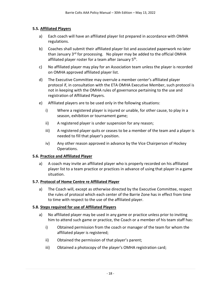#### <span id="page-17-0"></span>**5.5. Affiliated Players**

- a) Each coach will have an affiliated player list prepared in accordance with OMHA regulations.
- b) Coaches shall submit their affiliated player list and associated paperwork no later than January 3<sup>rd</sup> for processing. No player may be added to the official OMHA affiliated player roster for a team after January 5<sup>th</sup>.
- c) No affiliated player may play for an Association team unless the player is recorded on OMHA approved affiliated player list.
- d) The Executive Committee may overrule a member center's affiliated player protocol if, in consultation with the ETA OMHA Executive Member, such protocol is not in keeping with the OMHA rules of governance pertaining to the use and registration of Affiliated Players.
- e) Affiliated players are to be used only in the following situations:
	- i) Where a registered player is injured or unable, for other cause, to play in a season, exhibition or tournament game;
	- ii) A registered player is under suspension for any reason;
	- iii) A registered player quits or ceases to be a member of the team and a player is needed to fill that player's position.
	- iv) Any other reason approved in advance by the Vice Chairperson of Hockey Operations.

#### <span id="page-17-1"></span>**5.6. Practice and Affiliated Player**

a) A coach may invite an affiliated player who is properly recorded on his affiliated player list to a team practice or practices in advance of using that player in a game situation.

#### <span id="page-17-2"></span>**5.7. Protocol of Home Centre re Affiliated Player**

a) The Coach will, except as otherwise directed by the Executive Committee, respect the rules of protocol which each center of the Barrie Zone has in effect from time to time with respect to the use of the affiliated player.

#### <span id="page-17-3"></span>**5.8. Steps required for use of Affiliated Players**

- a) No affiliated player may be used in any game or practice unless prior to inviting him to attend such game or practice, the Coach or a member of his team staff has:
	- i) Obtained permission from the coach or manager of the team for whom the affiliated player is registered;
	- ii) Obtained the permission of that player's parent;
	- iii) Obtained a photocopy of the player's OMHA registration card;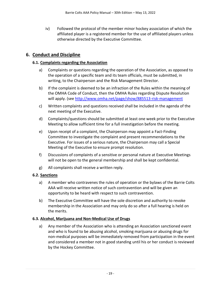iv) Followed the protocol of the member minor hockey association of which the affiliated player is a registered member for the use of affiliated players unless otherwise directed by the Executive Committee.

#### <span id="page-18-1"></span><span id="page-18-0"></span>**6. Conduct and Discipline**

#### **6.1. Complaints regarding the Association**

- a) Complaints or questions regarding the operation of the Association, as opposed to the operation of a specific team and its team officials, must be submitted, in writing, to the Chairperson and the Risk Management Director.
- b) If the complaint is deemed to be an infraction of the Rules within the meaning of the OMHA Code of Conduct, then the OMHA Rules regarding Dispute Resolution will apply. (see<http://www.omha.net/page/show/885513-risk-management>
- c) Written complaints and questions received shall be included in the agenda of the next meeting of the Executive.
- d) Complaints/questions should be submitted at least one week prior to the Executive Meeting to allow sufficient time for a full investigation before the meeting.
- e) Upon receipt of a complaint, the Chairperson may appoint a Fact-Finding Committee to investigate the complaint and present recommendations to the Executive. For issues of a serious nature, the Chairperson may call a Special Meeting of the Executive to ensure prompt resolution.
- f) Discussions of complaints of a sensitive or personal nature at Executive Meetings will not be open to the general membership and shall be kept confidential.
- g) All complaints shall receive a written reply.

#### <span id="page-18-2"></span>**6.2. Sanctions**

- a) A member who contravenes the rules of operation or the bylaws of the Barrie Colts AAA will receive written notice of such contravention and will be given an opportunity to be heard with respect to such contravention.
- b) The Executive Committee will have the sole discretion and authority to revoke membership in the Association and may only do so after a full hearing is held on the merits.

#### <span id="page-18-3"></span>**6.3. Alcohol, Marijuana and Non-Medical Use of Drugs**

a) Any member of the Association who is attending an Association sanctioned event and who is found to be abusing alcohol, smoking marijuana or abusing drugs for non-medical purposes will be immediately removed from participation in the event and considered a member not in good standing until his or her conduct is reviewed by the Hockey Committee.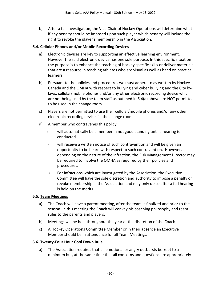b) After a full investigation, the Vice Chair of Hockey Operations will determine what if any penalty should be imposed upon such player which penalty will include the right to revoke the player's membership in the Association.

#### <span id="page-19-0"></span>**6.4. Cellular Phones and/or Mobile Recording Devices**

- a) Electronic devices are key to supporting an effective learning environment. However the said electronic device has one sole purpose. In this specific situation the purpose is to enhance the teaching of hockey specific skills or deliver materials that are a resource in teaching athletes who are visual as well as hand on practical learners.
- b) Pursuant to the policies and procedures we must adhere to as written by Hockey Canada and the OMHA with respect to bullying and cyber bullying and the City bylaws, cellular/mobile phones and/or any other electronic recording device which are not being used by the team staff as outlined in  $6.4(a)$  above are NOT permitted to be used in the change room.
- c) Players are not permitted to use their cellular/mobile phones and/or any other electronic recording devices in the change room.
- d) A member who contravenes this policy:
	- i) will automatically be a member in not good standing until a hearing is conducted
	- ii) will receive a written notice of such contravention and will be given an opportunity to be heard with respect to such contravention. However, depending on the nature of the infraction, the Risk Management Director may be required to involve the OMHA as required by their policies and procedures.
	- iii) For infractions which are investigated by the Association, the Executive Committee will have the sole discretion and authority to impose a penalty or revoke membership in the Association and may only do so after a full hearing is held on the merits.

#### <span id="page-19-1"></span>**6.5. Team Meetings**

- a) The Coach will have a parent meeting, after the team is finalized and prior to the season. In this meeting the Coach will convey his coaching philosophy and team rules to the parents and players.
- b) Meetings will be held throughout the year at the discretion of the Coach.
- c) A Hockey Operations Committee Member or in their absence an Executive Member should be in attendance for all Team Meetings.

#### <span id="page-19-2"></span>**6.6. Twenty-Four Hour Cool Down Rule**

a) The Association requires that all emotional or angry outbursts be kept to a minimum but, at the same time that all concerns and questions are appropriately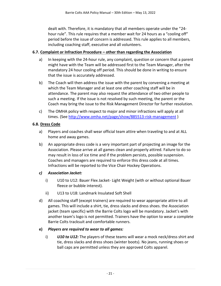dealt with. Therefore, it is mandatory that all members operate under the "24 hour rule". This rule requires that a member wait for 24 hours as a "cooling off" period before the issue of concern is addressed. This rule applies to all members, including coaching staff, executive and all volunteers.

#### <span id="page-20-0"></span>**6.7. Complaint or Infraction Procedure – other than regarding the Association**

- a) In keeping with the 24-hour rule, any complaint, question or concern that a parent might have with the Team will be addressed first to the Team Manager, after the mandatory 24 hour cooling off period. This should be done in writing to ensure that the issue is accurately addressed.
- b) The Coach will then address the issue with the parent by convening a meeting at which the Team Manager and at least one other coaching staff will be in attendance. The parent may also request the attendance of two other people to such a meeting. If the issue is not resolved by such meeting, the parent or the Coach may bring the issue to the Risk Management Director for further resolution.
- c) The OMHA policy with respect to major and minor infractions will apply at all times. (See<http://www.omha.net/page/show/885513-risk-management> )

#### <span id="page-20-1"></span>**6.8. Dress Code**

- a) Players and coaches shall wear official team attire when traveling to and at ALL home and away games.
- b) An appropriate dress code is a very important part of projecting an image for the Association. Please arrive at all games clean and properly attired. Failure to do so may result in loss of ice time and if the problem persists, possible suspension. Coaches and managers are required to enforce this dress code at all times. Infractions will be reported to the Vice Chair Hockey Operations.

#### *c) Association Jacket:*

- i) U10 to U12: Bauer Flex Jacket- Light Weight (with or without optional Bauer fleece or bubble interest).
- ii) U13 to U18: Landmark Insulated Soft Shell
- d) All coaching staff (except trainers) are required to wear appropriate attire to all games. This will include a shirt, tie, dress slacks and dress shoes. the Association jacket (team specific) with the Barrie Colts logo will be mandatory. Jacket's with another team's logo is not permitted. Trainers have the option to wear a complete Barrie Colts tracksuit and comfortable runners.

#### **e)** *Players are required to wear to all games:*

i) *U10 to U12:* The players of these teams will wear a mock neck/dress shirt and tie, dress slacks and dress shoes (winter boots). No jeans, running shoes or ball caps are permitted unless they are approved Colts apparel.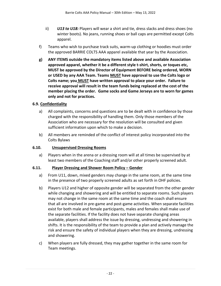- ii) *U13 to U18:* Players will wear a shirt and tie, dress slacks and dress shoes (no winter boots). No jeans, running shoes or ball caps are permitted except Colts apparel.
- f) Teams who wish to purchase track suits, warm-up clothing or hoodies must order the approved BARRIE COLTS AAA apparel available that year by the Association.
- **g) ANY ITEMS outside the mandatory items listed above and available Association approved apparel, whether it be a different style t-shirt, shorts, or toques etc, MUST be approved by the Director of Equipment BEFORE being ordered, WORN or USED by any AAA Team. Teams MUST have approval to use the Colts logo or Colts name; you MUST have written approval to place your order. Failure to receive approval will result in the team funds being replaced at the cost of the member placing the order. Game socks and Game Jerseys are to worn for games only and not for practices.**

#### <span id="page-21-0"></span>**6.9. Confidentiality**

- a) All complaints, concerns and questions are to be dealt with in confidence by those charged with the responsibility of handling them. Only those members of the Association who are necessary for the resolution will be consulted and given sufficient information upon which to make a decision.
- b) All members are reminded of the conflict of interest policy incorporated into the Colts Bylaws

#### <span id="page-21-1"></span>**6.10. Unsupervised Dressing Rooms**

a) Players when in the arena or a dressing room will at all times be supervised by at least two members of the Coaching staff and/or other properly screened adult.

#### <span id="page-21-2"></span>**6.11. Player Dressing and Shower Room Policy – Gender**

- a) From U11, down, mixed genders may change in the same room, at the same time in the presence of two properly screened adults as set forth in OHF policies.
- b) Players U12 and higher of opposite gender will be separated from the other gender while changing and showering and will be entitled to separate rooms. Such players may not change in the same room at the same time and the coach shall ensure that all are involved in pre-game and post-game activities. When separate facilities exist for both male and female participants, males and females shall make use of the separate facilities. If the facility does not have separate changing areas available, players shall address the issue by dressing, undressing and showering in shifts. It is the responsibility of the team to provide a plan and actively manage the risk and ensure the safety of individual players when they are dressing, undressing and showering.
- c) When players are fully dressed, they may gather together in the same room for Team meetings.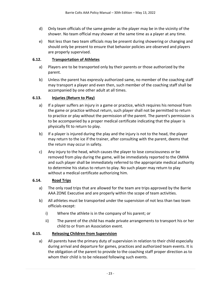- d) Only team officials of the same gender as the player may be in the vicinity of the shower. No team official may shower at the same time as a player at any time.
- e) Not less than two team officials may be present during showering or changing and should only be present to ensure that behavior policies are observed and players are properly supervised.

#### <span id="page-22-0"></span>**6.12. Transportation of Athletes**

- a) Players are to be transported only by their parents or those authorized by the parent.
- b) Unless the parent has expressly authorized same, no member of the coaching staff may transport a player and even then, such member of the coaching staff shall be accompanied by one other adult at all times.

#### <span id="page-22-1"></span>**6.13. Injuries (Return to Play)**

- a) If a player suffers an injury in a game or practice, which requires his removal from the game or practice without return, such player shall not be permitted to return to practice or play without the permission of the parent. The parent's permission is to be accompanied by a proper medical certificate indicating that the player is physically fit to return to play.
- b) If a player is injured during the play and the injury is not to the head, the player may return to the ice if the trainer, after consulting with the parent, deems that the return may occur in safety.
- c) Any injury to the head, which causes the player to lose consciousness or be removed from play during the game, will be immediately reported to the OMHA and such player shall be immediately referred to the appropriate medical authority to determine his status to return to play. No such player may return to play without a medical certificate authorizing him.

#### <span id="page-22-2"></span>**6.14. Road Trips**

- a) The only road trips that are allowed for the team are trips approved by the Barrie AAA ZONE Executive and are properly within the scope of team activities.
- b) All athletes must be transported under the supervision of not less than two team officials except:
	- i) Where the athlete is in the company of his parent; or
	- ii) The parent of the child has made private arrangements to transport his or her child to or from an Association event.

#### <span id="page-22-3"></span>**6.15. Releasing Children from Supervision**

a) All parents have the primary duty of supervision in relation to their child especially during arrival and departure for games, practices and authorized team events. It is the obligation of the parent to provide to the coaching staff proper direction as to whom their child is to be released following such events.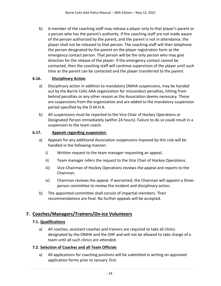b) A member of the coaching staff may release a player only to that player's parent or a person who has the parent's authority. If the coaching staff are not made aware of the person authorized by the parent, and the parent is not in attendance, the player shall not be released to that person. The coaching staff will then telephone the person designated by the parent on the player registration form as the emergency contact person. That person will be the only person who may give direction for the release of the player. If the emergency contact cannot be contacted, then the coaching staff will continue supervision of the player until such time as the parent can be contacted and the player transferred to the parent.

#### <span id="page-23-0"></span>**6.16. Disciplinary Action**

- a) Disciplinary action in addition to mandatory OMHA suspensions, may be handed out by the Barrie Colts AAA organization for misconduct penalties, hitting from behind penalties or any other reason as the Association deems necessary. These are suspensions from the organization and are added to the mandatory suspension period specified by the O.M.H.A.
- b) All suspensions must be reported to the Vice Chair of Hockey Operations or Designated Person immediately (within 24 hours). Failure to do so could result in a suspension to the team coach.

#### <span id="page-23-1"></span>**6.17. Appeals regarding suspension:**

- a) Appeals for any additional Association suspensions imposed by this rule will be handled in the following manner:
	- i) Written request to the team manager requesting an appeal.
	- ii) Team manager refers the request to the Vice Chair of Hockey Operations.
	- iii) Vice-Chairman of Hockey Operations reviews the appeal and reports to the Chairman.
	- iv) Chairman reviews the appeal. If warranted, the Chairman will appoint a threeperson committee to review the incident and disciplinary action.
- b) The appointed committee shall consist of impartial members. Their recommendations are final. No further appeals will be accepted.

## <span id="page-23-3"></span><span id="page-23-2"></span>**7. Coaches/Managers/Trainers/On-Ice Volunteers**

#### **7.1. Qualifications**

a) All coaches, assistant coaches and trainers are required to take all clinics designated by the OMHA and the OHF and will not be allowed to take charge of a team until all such clinics are attended.

#### <span id="page-23-4"></span>**7.2. Selection of Coaches and all Team Officials**

a) All applications for coaching positions will be submitted in writing on approved application forms prior to January 31st.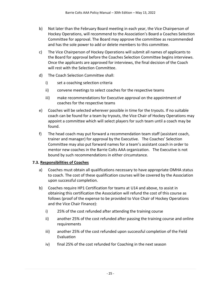- b) Not later than the February Board meeting in each year, the Vice Chairperson of Hockey Operations, will recommend to the Association's Board a Coaches Selection Committee for approval. The Board may approve the committee as recommended and has the sole power to add or delete members to this committee.
- c) The Vice Chairperson of Hockey Operations will submit all names of applicants to the Board for approval before the Coaches Selection Committee begins interviews. Once the applicants are approved for interviews, the final decision of the Coach will rest with the Selection Committee.
- d) The Coach Selection Committee shall:
	- i) set a coaching selection criteria
	- ii) convene meetings to select coaches for the respective teams
	- iii) make recommendations for Executive approval on the appointment of coaches for the respective teams
- e) Coaches will be selected wherever possible in time for the tryouts. If no suitable coach can be found for a team by tryouts, the Vice Chair of Hockey Operations may appoint a committee which will select players for such team until a coach may be found.
- f) The head coach may put forward a recommendation team staff (assistant coach, trainer and manager) for approval by the Executive. The Coaches' Selection Committee may also put forward names for a team's assistant coach in order to mentor new coaches in the Barrie Colts AAA organization. The Executive is not bound by such recommendations in either circumstance.

#### <span id="page-24-0"></span>**7.3. Responsibilities of Coaches**

- a) Coaches must obtain all qualifications necessary to have appropriate OMHA status to coach. The cost of these qualification courses will be covered by the Association upon successful completion.
- b) Coaches require HP1 Certification for teams at U14 and above, to assist in obtaining this certification the Association will refund the cost of this course as follows (proof of the expense to be provided to Vice Chair of Hockey Operations and the Vice Chair Finance):
	- i) 25% of the cost refunded after attending the training course
	- ii) another 25% of the cost refunded after passing the training course and online requirements
	- iii) another 25% of the cost refunded upon successful completion of the Field Evaluation
	- iv) final 25% of the cost refunded for Coaching in the next season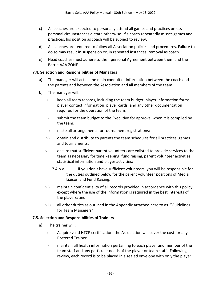- c) All coaches are expected to personally attend all games and practices unless personal circumstances dictate otherwise. If a coach repeatedly misses games and practices, his position as coach will be subject to review.
- d) All coaches are required to follow all Association policies and procedures. Failure to do so may result in suspension or, in repeated instances, removal as coach.
- e) Head coaches must adhere to their personal Agreement between them and the Barrie AAA ZONE.

#### <span id="page-25-0"></span>**7.4. Selection and Responsibilities of Managers**

- a) The manager will act as the main conduit of information between the coach and the parents and between the Association and all members of the team.
- b) The manager will:
	- i) keep all team records, including the team budget, player information forms, player contact information, player cards, and any other documentation required for the operation of the team;
	- ii) submit the team budget to the Executive for approval when it is compiled by the team;
	- iii) make all arrangements for tournament registrations;
	- iv) obtain and distribute to parents the team schedules for all practices, games and tournaments;
	- v) ensure that sufficient parent volunteers are enlisted to provide services to the team as necessary for time keeping, fund raising, parent volunteer activities, statistical information and player activities;
		- 7.4.b.v.1. if you don't have sufficient volunteers, you will be responsible for the duties outlined below for the parent volunteer positions of Media Liaison and Fund Raising.
	- vi) maintain confidentiality of all records provided in accordance with this policy, except where the use of the information is required in the best interests of the players; and
	- vii) all other duties as outlined in the Appendix attached here to as "Guidelines for Team Managers"

#### <span id="page-25-1"></span>**7.5. Selection and Responsibilities of Trainers**

- a) The trainer will:
	- i) Acquire valid HTCP certification, the Association will cover the cost for any Rostered Trainer.
	- ii) maintain all health information pertaining to each player and member of the team staff and any particular needs of the player or team staff. Following review, each record is to be placed in a sealed envelope with only the player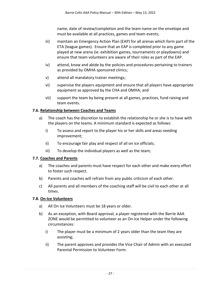name, date of review/completion and the team name on the envelope and must be available at all practices, games and team events;

- iii) maintain an Emergency Action Plan (EAP) for all arenas which form part of the ETA (league games). Ensure that an EAP is completed prior to any game played at new arena (ie. exhibition games, tournaments or playdowns) and ensure that team volunteers are aware of their roles as part of the EAP.
- iv) attend, know and abide by the policies and procedures pertaining to trainers as provided by OMHA sponsored clinics;
- v) attend all mandatory trainer meetings;
- vi) supervise the players equipment and ensure that all players have appropriate equipment as approved by the CHA and OMHA; and
- vii) support the team by being present at all games, practices, fund raising and team events.

#### <span id="page-26-0"></span>**7.6. Relationship between Coaches and Teams**

- a) The coach has the discretion to establish the relationship he or she is to have with the players on the teams. A minimum standard is expected as follows:
	- i) To assess and report to the player his or her skills and areas needing improvement;
	- ii) To encourage fair play and respect of all on ice officials;
	- iii) To develop the individual players as well as the team;

#### <span id="page-26-1"></span>**7.7. Coaches and Parents**

- a) The coaches and parents must have respect for each other and make every effort to foster such respect.
- b) Parents and coaches will refrain from any public criticism of each other.
- c) All parents and all members of the coaching staff will be civil to each other at all times.

#### <span id="page-26-2"></span>**7.8. On-Ice Volunteers**

- a) All On Ice Volunteers must be 18 years or older.
- b) As an exception, with Board approval, a player registered with the Barrie AAA ZONE would be permitted to volunteer as an On-Ice Helper under the following circumstances:
	- i) The player must be a minimum of 2 years older than the team they are assisting;
	- ii) The parent approves and provides the Vice Chair of Admin with an executed Parental Permission to Volunteer Form.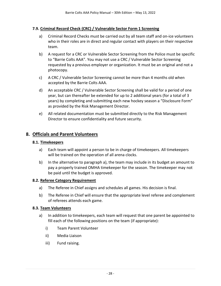#### <span id="page-27-0"></span>**7.9. Criminal Record Check (CRC) / Vulnerable Sector Form 1 Screening**

- a) Criminal Record Checks must be carried out by all team staff and on-ice volunteers who in their roles are in direct and regular contact with players on their respective team.
- b) A request for a CRC or Vulnerable Sector Screening from the Police must be specific to "Barrie Colts AAA". You may not use a CRC / Vulnerable Sector Screening requested by a previous employer or organization. It must be an original and not a photocopy.
- c) A CRC / Vulnerable Sector Screening cannot be more than 4 months old when accepted by the Barrie Colts AAA.
- d) An acceptable CRC / Vulnerable Sector Screening shall be valid for a period of one year, but can thereafter be extended for up to 2 additional years (for a total of 3 years) by completing and submitting each new hockey season a "Disclosure Form" as provided by the Risk Management Director.
- e) All related documentation must be submitted directly to the Risk Management Director to ensure confidentiality and future security.

#### <span id="page-27-2"></span><span id="page-27-1"></span>**8. Officials and Parent Volunteers**

#### **8.1. Timekeepers**

- a) Each team will appoint a person to be in charge of timekeepers. All timekeepers will be trained on the operation of all arena clocks.
- b) In the alternative to paragraph a), the team may include in its budget an amount to pay a properly trained OMHA timekeeper for the season. The timekeeper may not be paid until the budget is approved.

#### <span id="page-27-3"></span>**8.2. Referee Category Requirement**

- a) The Referee in Chief assigns and schedules all games. His decision is final.
- b) The Referee in Chief will ensure that the appropriate level referee and complement of referees attends each game.

#### <span id="page-27-4"></span>**8.3. Team Volunteers**

- a) In addition to timekeepers, each team will request that one parent be appointed to fill each of the following positions on the team (if appropriate):
	- i) Team Parent Volunteer
	- ii) Media Liaison
	- iii) Fund raising.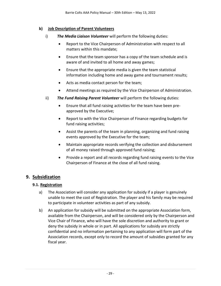#### <span id="page-28-0"></span>**b) Job Description of Parent Volunteers**

- i) *The Media Liaison Volunteer* will perform the following duties:
	- Report to the Vice Chairperson of Administration with respect to all matters within this mandate;
	- Ensure that the team sponsor has a copy of the team schedule and is aware of and invited to all home and away games;
	- Ensure that the appropriate media is given the team statistical information including home and away game and tournament results;
	- Acts as media contact person for the team;
	- Attend meetings as required by the Vice Chairperson of Administration.
- ii) *The Fund Raising Parent Volunteer* will perform the following duties:
	- Ensure that all fund raising activities for the team have been preapproved by the Executive;
	- Report to with the Vice Chairperson of Finance regarding budgets for fund raising activities;
	- Assist the parents of the team in planning, organizing and fund raising events approved by the Executive for the team;
	- Maintain appropriate records verifying the collection and disbursement of all money raised through approved fund raising;
	- Provide a report and all records regarding fund raising events to the Vice Chairperson of Finance at the close of all fund raising.

#### <span id="page-28-2"></span><span id="page-28-1"></span>**9. Subsidization**

#### **9.1. Registration**

- a) The Association will consider any application for subsidy if a player is genuinely unable to meet the cost of Registration. The player and his family may be required to participate in volunteer activities as part of any subsidy.
- b) An application for subsidy will be submitted on the appropriate Association form, available from the Chairperson, and will be considered only by the Chairperson and Vice Chair of Finance, who will have the sole discretion and authority to grant or deny the subsidy in whole or in part. All applications for subsidy are strictly confidential and no information pertaining to any application will form part of the Association records, except only to record the amount of subsidies granted for any fiscal year.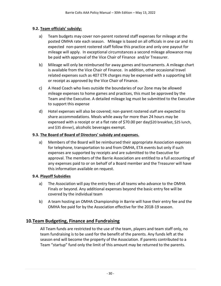#### <span id="page-29-0"></span>**9.2. Team officials' subsidy:**

- a) Team budgets may cover non-parent rostered staff expenses for mileage at the posted OMHA rate each season. Mileage is based on all officials in one car and its expected non-parent rostered staff follow this practice and only one payout for mileage will apply. In exceptional circumstances a second mileage allowance may be paid with approval of the Vice Chair of Finance and/or Treasurer.
- b) Mileage will only be reimbursed for away games and tournaments. A mileage chart is available from the Vice Chair of Finance. In addition, other occasional travel related expenses such as 407 ETR charges may be expensed with a supporting bill or receipt as approved by the Vice Chair of Finance.
- c) A Head Coach who lives outside the boundaries of our Zone may be allowed mileage expenses to home games and practices, this must be approved by the Team and the Executive. A detailed mileage log must be submitted to the Executive to support this expense
- d) Hotel expenses will also be covered; non-parent rostered staff are expected to share accommodations. Meals while away for more than 24 hours may be expensed with a receipt or at a flat rate of \$70.00 per day(\$20 breakfast, \$25 lunch, and \$35 dinner), alcoholic beverages exempt.

#### <span id="page-29-1"></span>**9.3. The Board of Board of Directors' subsidy and expenses.**

a) Members of the Board will be reimbursed their appropriate Association expenses for telephone, transportation to and from OMHA, ETA events but only if such expenses are supported by receipts and are submitted to the Executive for approval. The members of the Barrie Association are entitled to a full accounting of any expenses paid to or on behalf of a Board member and the Treasurer will have this information available on request.

#### <span id="page-29-2"></span>**9.4. Playoff Subsidies**

- a) The Association will pay the entry fees of all teams who advance to the OMHA Finals or beyond. Any additional expenses beyond the basic entry fee will be covered by the individual team
- b) A team hosting an OMHA Championship in Barrie will have their entry fee and the OMHA fee paid for by the Association effective for the 2018-19 season.

#### <span id="page-29-3"></span>**10.Team Budgeting, Finance and Fundraising**

All Team funds are restricted to the use of the team, players and team staff only, no team fundraising is to be used for the benefit of the parents. Any funds left at the season end will become the property of the Association. If parents contributed to a Team "startup" fund only the limit of this amount may be returned to the parents.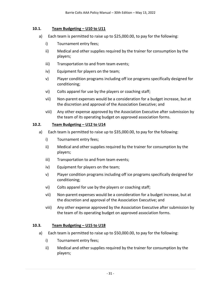#### <span id="page-30-0"></span>**10.1. Team Budgeting – U10 to U11**

- a) Each team is permitted to raise up to \$25,000.00, to pay for the following:
	- i) Tournament entry fees;
	- ii) Medical and other supplies required by the trainer for consumption by the players;
	- iii) Transportation to and from team events;
	- iv) Equipment for players on the team;
	- v) Player condition programs including off ice programs specifically designed for conditioning;
	- vi) Colts apparel for use by the players or coaching staff;
	- vii) Non-parent expenses would be a consideration for a budget increase, but at the discretion and approval of the Association Executive; and
	- viii) Any other expense approved by the Association Executive after submission by the team of its operating budget on approved association forms.

#### <span id="page-30-1"></span>**10.2. Team Budgeting – U12 to U14**

- a) Each team is permitted to raise up to \$35,000.00, to pay for the following:
	- i) Tournament entry fees;
	- ii) Medical and other supplies required by the trainer for consumption by the players;
	- iii) Transportation to and from team events;
	- iv) Equipment for players on the team;
	- v) Player condition programs including off ice programs specifically designed for conditioning;
	- vi) Colts apparel for use by the players or coaching staff;
	- vii) Non-parent expenses would be a consideration for a budget increase, but at the discretion and approval of the Association Executive; and
	- viii) Any other expense approved by the Association Executive after submission by the team of its operating budget on approved association forms.

#### <span id="page-30-2"></span>**10.3. Team Budgeting – U15 to U18**

- a) Each team is permitted to raise up to \$50,000.00, to pay for the following:
	- i) Tournament entry fees;
	- ii) Medical and other supplies required by the trainer for consumption by the players;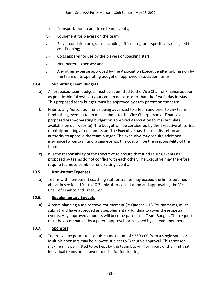- iii) Transportation to and from team events;
- iv) Equipment for players on the team;
- v) Player condition programs including off ice programs specifically designed for conditioning;
- vi) Colts apparel for use by the players or coaching staff;
- vii) Non-parent expenses; and
- viii) Any other expense approved by the Association Executive after submission by the team of its operating budget on approved association forms.

#### <span id="page-31-0"></span>**10.4. Submitting Team Budgets**

- a) All proposed team budgets must be submitted to the Vice Chair of Finance as soon as practicable following tryouts and in no case later than the first Friday in May. This proposed team budget must be approved by each parent on the team.
- b) Prior to any Association funds being advanced to a team and prior to any team fund raising event, a team must submit to the Vice Chairperson of Finance a proposed team-operating budget on approved Association forms (template available on our website). The budget will be considered by the Executive at its first monthly meeting after submission. The Executive has the sole discretion and authority to approve the team budget. The executive may require additional insurance for certain fundraising events, this cost will be the responsibility of the team.
- c) It is the responsibility of the Executive to ensure that fund raising events as proposed by teams do not conflict with each other. The Executive may therefore require teams to combine fund raising events.

#### <span id="page-31-1"></span>**10.5. Non-Parent Expenses**

a) Teams with non-parent coaching staff or trainer may exceed the limits outlined above in sections 10.1 to 10.3 only after consultation and approval by the Vice Chair of Finance and Treasurer.

#### <span id="page-31-2"></span>**10.6. Supplementary Budgets**

a) A team planning a major travel tournament (ie Quebec U13 Tournament), must submit and have approved any supplementary funding to cover these special events. Any approved amounts will become part of the Team Budget. This request must be accompanied by a parent approval form signed by all team members.

#### <span id="page-31-3"></span>**10.7. Sponsors**

a) Teams will be permitted to raise a maximum of \$2500.00 from a single sponsor. Multiple sponsors may be allowed subject to Executive approval. This sponsor maximum is permitted to be kept by the team but will form part of the limit that individual teams are allowed to raise for fundraising.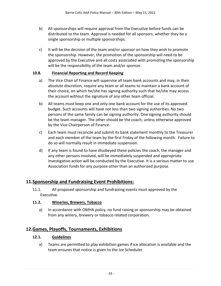- b) All sponsorships will require approval from the Executive before funds can be distributed to the team. Approval is needed for all sponsors, whether they be a single sponsorship or multiple sponsorships.
- c) It will be the decision of the team and/or sponsor on how they wish to promote the sponsorship. However, the promotion of the sponsorship will need to be approved by the Executive and all costs associated with promoting the sponsorship will be the responsibility of the team and/or sponsor.

#### <span id="page-32-0"></span>**10.8. Financial Reporting and Record Keeping**

- a) The Vice Chair of Finance will supervise all team bank accounts and may, in their absolute discretion, require any team or all teams to maintain a bank account of their choice, on which he/she has signing authority such that he/she may access the account without the signature of any other team official.
- b) All teams must keep one and only one bank account for the use of its approved budget. Such accounts will have not less than two signing authorities. No two persons of the same family can be signing authority. One signing authority should be the team manager. The other should be the coach, unless otherwise approved by the Vice Chairperson of Finance.
- c) Each team must reconcile and submit its bank statement monthly to the Treasurer and each member of the team by the first Friday of the following month. Failure to do so will normally result in immediate suspension.
- d) If any team is found to have disobeyed these policies the coach, the manager and any other persons involved, will be immediately suspended and appropriate investigative action will be conducted by the Executive. It is a serious matter to use Association funds for any purpose other than an authorized purpose.

#### <span id="page-32-2"></span><span id="page-32-1"></span>**11.Sponsorship and Fundraising Event Prohibitions:**

11.1. All proposed sponsorship and fundraising events must approved by the Executive.

#### <span id="page-32-3"></span>**11.2. Wineries, Brewers, Tobacco**

a) In accordance with OMHA policy, no fund raising or sponsorship may be obtained from any winery, brewery or tobacco related corporation.

#### <span id="page-32-5"></span><span id="page-32-4"></span>**12.Games, Playoffs, Tournaments, Exhibitions**

#### **12.1. Guidelines**

a) Teams are permitted to play exhibition games if ice allocation is available and the team ensures that notice is given to the Ice Scheduler.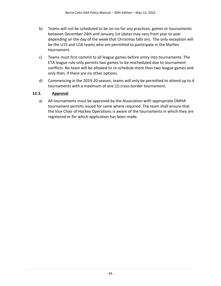- b) Teams will not be scheduled to be on ice for any practices, games or tournaments between December 24th and January 1st (dates may vary from year to year depending on the day of the week that Christmas falls on). The only exception will be the U15 and U16 teams who are permitted to participate in the Marlies tournament.
- c) Teams must first commit to all league games before entry into tournaments. The ETA league rule only permits two games to be rescheduled due to tournament conflicts. No team will be allowed to re-schedule more than two league games and only then, if there are no other options.
- d) Commencing in the 2019-20 season, teams will only be permitted to attend up to 4 tournaments with a maximum of one (1) cross-border tournament.

#### <span id="page-33-0"></span>**12.2. Approval**

a) All tournaments must be approved by the Association with appropriate OMHA tournament permits issued for same where required. The team shall ensure that the Vice Chair of Hockey Operations is aware of the tournaments in which they are registered or for which application has been made.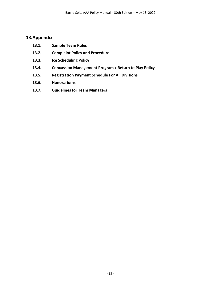#### <span id="page-34-0"></span>**13.Appendix**

- **13.1. Sample Team Rules**
- **13.2. Complaint Policy and Procedure**
- **13.3. Ice Scheduling Policy**
- **13.4. Concussion Management Program / Return to Play Policy**
- **13.5. Registration Payment Schedule For All Divisions**
- **13.6. Honorariums**
- **13.7. Guidelines for Team Managers**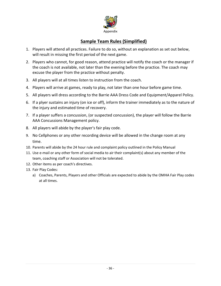

## **Sample Team Rules (Simplified)**

- <span id="page-35-0"></span>1. Players will attend all practices. Failure to do so, without an explanation as set out below, will result in missing the first period of the next game.
- 2. Players who cannot, for good reason, attend practice will notify the coach or the manager if the coach is not available, not later than the evening before the practice. The coach may excuse the player from the practice without penalty.
- 3. All players will at all times listen to instruction from the coach.
- 4. Players will arrive at games, ready to play, not later than one hour before game time.
- 5. All players will dress according to the Barrie AAA Dress Code and Equipment/Apparel Policy.
- 6. If a plyer sustains an injury (on ice or off), inform the trainer immediately as to the nature of the injury and estimated time of recovery.
- 7. If a player suffers a concussion, (or suspected concussion), the player will follow the Barrie AAA Concussions Management policy.
- 8. All players will abide by the player's fair play code.
- 9. No Cellphones or any other recording device will be allowed in the change room at any time.
- 10. Parents will abide by the 24 hour rule and complaint policy outlined in the Policy Manual
- 11. Use e-mail or any other form of social media to air their complaint(s) about any member of the team, coaching staff or Association will not be tolerated.
- 12. Other items as per coach's directives.
- <span id="page-35-1"></span>13. Fair Play Codes:
	- a) Coaches, Parents, Players and other Officials are expected to abide by the OMHA Fair Play codes at all times.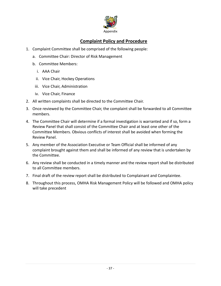

## **Complaint Policy and Procedure**

- 1. Complaint Committee shall be comprised of the following people:
	- a. Committee Chair: Director of Risk Management
	- b. Committee Members:
		- i. AAA Chair
		- ii. Vice Chair, Hockey Operations
	- iii. Vice Chair, Administration
	- iv. Vice Chair, Finance
- 2. All written complaints shall be directed to the Committee Chair.
- 3. Once reviewed by the Committee Chair, the complaint shall be forwarded to all Committee members.
- 4. The Committee Chair will determine if a formal investigation is warranted and if so, form a Review Panel that shall consist of the Committee Chair and at least one other of the Committee Members. Obvious conflicts of interest shall be avoided when forming the Review Panel.
- 5. Any member of the Association Executive or Team Official shall be informed of any complaint brought against them and shall be informed of any review that is undertaken by the Committee.
- 6. Any review shall be conducted in a timely manner and the review report shall be distributed to all Committee members.
- 7. Final draft of the review report shall be distributed to Complainant and Complaintee.
- 8. Throughout this process, OMHA Risk Management Policy will be followed and OMHA policy will take precedent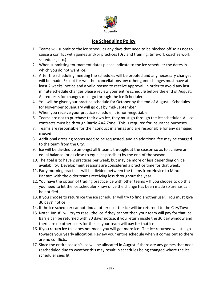

## **Ice Scheduling Policy**

- <span id="page-37-0"></span>1. Teams will submit to the ice scheduler any days that need to be blocked off so as not to cause a conflict with games and/or practices (Dryland training, time-off, coaches work schedules, etc.)
- 2. When submitting tournament dates please indicate to the ice scheduler the dates in which you do not want ice.
- 3. After the scheduling meeting the schedules will be proofed and any necessary changes will be made. Except for weather cancellations any other game changes must have at least 2 weeks' notice and a valid reason to receive approval. In order to avoid any last minute schedule changes please review your entire schedule before the end of August. All requests for changes must go through the Ice Scheduler.
- 4. You will be given your practice schedule for October by the end of August. Schedules for November to January will go out by mid-September
- 5. When you receive your practice schedule, it is non-negotiable.
- 6. Teams are not to purchase their own ice, they must go through the ice scheduler. All ice contracts must be through Barrie AAA Zone. This is required for insurance purposes.
- 7. Teams are responsible for their conduct in arenas and are responsible for any damaged caused
- 8. Additional dressing rooms need to be requested, and an additional fee may be charged to the team from the City.
- 9. Ice will be divided up amongst all 9 teams throughout the season so as to achieve an equal balance (or as close to equal as possible) by the end of the season
- 10. The goal is to have 2 practices per week, but may be more or less depending on ice availability. Development sessions are considered a practice time for that week.
- 11. Early morning practices will be divided between the teams from Novice to Minor Bantam with the older teams receiving less throughout the year.
- 12. You have the option of trading practice ice with other teams If you choose to do this you need to let the ice scheduler know once the change has been made so arenas can be notified.
- 13. If you choose to return ice the ice scheduler will try to find another user. You must give 30 days' notice.
- 14. If the ice scheduler cannot find another user the ice will be returned to the City/Town
- 15. Note: Innisfil will try to resell the ice if they cannot then your team will pay for that ice. Barrie can be returned with 30 days' notice, if you return inside the 30 day window and there are no other users for the ice your team will pay for that ice.
- 16. If you return ice this does not mean you will get more ice. The ice returned will still go towards your yearly allocation. Review your entire schedule when it comes out so there are no conflicts.
- 17. Since the entire season's ice will be allocated in August if there are any games that need rescheduled due to weather this may result in schedules being changed where the ice scheduler sees fit.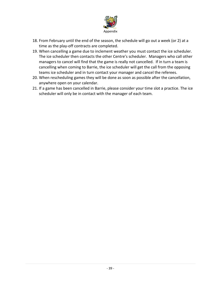

- 18. From February until the end of the season, the schedule will go out a week (or 2) at a time as the play-off contracts are completed.
- 19. When cancelling a game due to inclement weather you must contact the ice scheduler. The ice scheduler then contacts the other Centre's scheduler. Managers who call other managers to cancel will find that the game is really not cancelled. If in turn a team is cancelling when coming to Barrie, the ice scheduler will get the call from the opposing teams ice scheduler and in turn contact your manager and cancel the referees.
- 20. When rescheduling games they will be done as soon as possible after the cancellation, anywhere open on your calendar.
- 21. If a game has been cancelled in Barrie, please consider your time slot a practice. The ice scheduler will only be in contact with the manager of each team.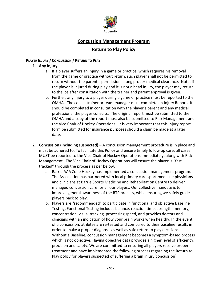

## **Concussion Management Program**

#### **Return to Play Policy**

#### <span id="page-39-1"></span><span id="page-39-0"></span>**PLAYER INJURY / CONCUSSION / RETURN TO PLAY:**

- 1. **Any Injury**
	- a. If a player suffers an injury in a game or practice, which requires his removal from the game or practice without return, such player shall not be permitted to return without the parent's permission, along proper medical clearance. Note: if the player is injured during play and it is not a head injury, the player may return to the ice after consultation with the trainer and parent approval is given.
	- b. Further, any injury to a player during a game or practice must be reported to the OMHA. The coach, trainer or team manager must complete an Injury Report. It should be completed in consultation with the player's parent and any medical professional the player consults. The original report must be submitted to the OMHA and a copy of the report must also be submitted to Risk Management and the Vice Chair of Hockey Operations. It is very important that this injury report form be submitted for insurance purposes should a claim be made at a later date.
- 2. **Concussion (including suspected)** A concussion management procedure is in place and must be adhered to. To facilitate this Policy and ensure timely follow up care, all cases MUST be reported to the Vice Chair of Hockey Operations immediately, along with Risk Management. The Vice Chair of Hockey Operations will ensure the player is "fast tracked" through the process as per below.
	- a. Barrie AAA Zone Hockey has implemented a concussion management program. The Association has partnered with local primary care sport medicine physicians and clinicians at Barrie Sports Medicine and Rehabilitation Centre to deliver managed concussion care for all our players. Our collective mandate is to improve general awareness of the RTP process, while ensuring we safely guide players back to play.
	- b. Players are "recommended" to participate in functional and objective Baseline Testing. Functional Testing includes balance, reaction time, strength, memory, concentration, visual tracking, processing speed, and provides doctors and clinicians with an indication of how your brain works when healthy. In the event of a concussion, athletes are re-tested and compared to their baseline results in order to make a proper diagnosis as well as safe return to play decisions. Without a Baseline, concussion management becomes a symptom-based process which is not objective. Having objective data provides a higher level of efficiency, precision and safety. We are committed to ensuring all players receive proper treatment and have implemented the following process regarding the Return to Play policy for players suspected of suffering a brain injury(concussion).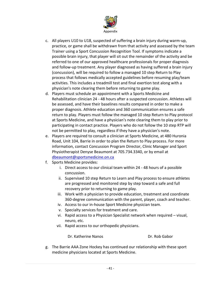

- c. All players U10 to U18, suspected of suffering a brain injury during warm-up, practice, or game shall be withdrawn from that activity and assessed by the team Trainer using a Sport Concussion Recognition Tool. If symptoms indicate a possible brain injury, that player will sit out the remainder of the activity and be referred to one of our approved healthcare professionals for proper diagnosis and follow-up treatment. Any player diagnosed as having suffered a brain injury (concussion), will be required to follow a managed 10 step Return to Play process that follows medically accepted guidelines before resuming play/team activities. This includes a treadmill test and final exertion test along with a physician's note clearing them before returning to game play.
- d. Players must schedule an appointment with a Sports Medicine and Rehabilitation clinician 24 - 48 hours after a suspected concussion. Athletes will be assessed, and have their baselines results compared in order to make a proper diagnosis. Athlete education and 360 communication ensures a safe return to play. Players must follow the managed 10 step Return to Play protocol at Sports Medicine, and have a physician's note clearing them to play prior to participating in contact practice. Players who do not follow the 10 step RTP will not be permitted to play, regardless if they have a physician's note.
- e. Players are required to consult a clinician at Sports Medicine, at 480 Huronia Road, Unit 104, Barrie in order to plan the Return to Play process. For more information, contact Concussion Program Director, Clinic Manager and Sport Physiotherapist Denyse Beaumont at 705.734.3340, or by email at [dbeaumont@sportsmedicine.on.ca](mailto:dbeaumont@sportsmedicine.on.ca)
- f. Sports Medicine provides:
	- i. Direct access to our clinical team within 24 48 hours of a possible concussion.
	- ii. Supervised 10 step Return to Learn and Play process to ensure athletes are progressed and monitored step by step toward a safe and full recovery prior to returning to game play.
	- iii. Work with a physician to provide education, treatment and coordinate 360-degree communication with the parent, player, coach and teacher.
	- iv. Access to our in-house Sport Medicine physician team.
	- v. Specialty services for treatment and care.
	- vi. Rapid access to a Physician Specialist network when required visual, neuro, etc.
	- vii. Rapid access to our orthopedic physicians.

Dr. Katherine Nanos **Dr. Rob Gabor** 

g. The Barrie AAA Zone Hockey has continued our relationship with these sport medicine physicians located at Sports Medicine.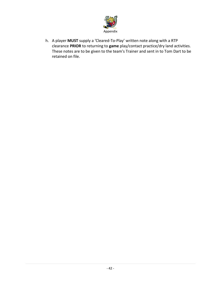

h. A player **MUST** supply a 'Cleared-To-Play' written note along with a RTP clearance **PRIOR** to returning to **game** play/contact practice/dry land activities. These notes are to be given to the team's Trainer and sent in to Tom Dart to be retained on file.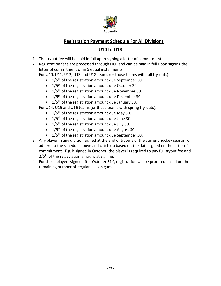

## **Registration Payment Schedule For All Divisions**

## **U10 to U18**

- <span id="page-42-0"></span>1. The tryout fee will be paid in full upon signing a letter of commitment.
- 2. Registration fees are processed through HCR and can be paid in full upon signing the letter of commitment or in 5 equal installments:

For U10, U11, U12, U13 and U18 teams (or those teams with fall try-outs):

- $\bullet$  1/5<sup>th</sup> of the registration amount due September 30.
- $\bullet$  1/5<sup>th</sup> of the registration amount due October 30.
- $\bullet$  1/5<sup>th</sup> of the registration amount due November 30.
- $\bullet$  1/5<sup>th</sup> of the registration amount due December 30.
- $\bullet$  1/5<sup>th</sup> of the registration amount due January 30.
- For U14, U15 and U16 teams (or those teams with spring try-outs):
	- $\bullet$  1/5<sup>th</sup> of the registration amount due May 30.
	- $\bullet$  1/5<sup>th</sup> of the registration amount due June 30.
	- $\bullet$  1/5<sup>th</sup> of the registration amount due July 30.
	- $\bullet$  1/5<sup>th</sup> of the registration amount due August 30.
	- $\bullet$  1/5<sup>th</sup> of the registration amount due September 30.
- 3. Any player in any division signed at the end of tryouts of the current hockey season will adhere to the schedule above and catch up based on the date signed on the letter of commitment. E.g. if signed in October, the player is required to pay full tryout fee and  $2/5<sup>th</sup>$  of the registration amount at signing.
- 4. For those players signed after October  $31<sup>st</sup>$ , registration will be prorated based on the remaining number of regular season games.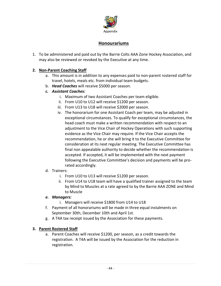

#### **Honourariums**

<span id="page-43-0"></span>1. To be administered and paid out by the Barrie Colts AAA Zone Hockey Association, and may also be reviewed or revoked by the Executive at any time.

#### **2. Non-Parent Coaching Staff**

- a. This amount is in addition to any expenses paid to non-parent rostered staff for travel, hotels, meals etc. from individual team budgets.
- b. *Head Coaches* will receive \$5000 per season.

#### *c. Assistant Coaches:*

- i. Maximum of two Assistant Coaches per team eligible.
- ii. From U10 to U12 will receive \$1200 per season.
- iii. From U13 to U18 will receive \$2000 per season.
- iv. The honorarium for one Assistant Coach per team, may be adjusted in exceptional circumstances. To qualify for exceptional circumstances, the head coach must make a written recommendation with respect to an adjustment to the Vice Chair of Hockey Operations with such supporting evidence as the Vice Chair may require. If the Vice Chair accepts the recommendation, he or she will bring it to the Executive Committee for consideration at its next regular meeting. The Executive Committee has final non appealable authority to decide whether the recommendation is accepted. If accepted, it will be implemented with the next payment following the Executive Committee's decision and payments will be prorated accordingly.
- d. Trainers:
	- i. From U10 to U13 will receive \$1200 per season.
	- ii. From U14 to U18 team will have a qualified trainer assigned to the team by Mind to Muscles at a rate agreed to by the Barrie AAA ZONE and Mind to Muscle

#### *e. Managers:*

- i. Managers will receive \$1800 from U14 to U18
- f. Payment of all honorariums will be made in three equal instalments on September 30th, December 10th and April 1st.
- g. A T4A tax receipt issued by the Association for these payments.

#### **3. Parent Rostered Staff**

a. Parent Coaches will receive \$1200, per season, as a credit towards the registration. A T4A will be issued by the Association for the reduction in registration.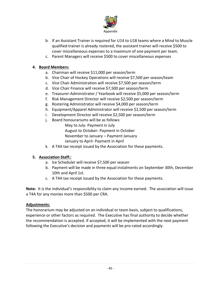

- b. If an Assistant Trainer is required for U14 to U18 teams where a Mind to Muscle qualified trainer is already rostered, the assistant trainer will receive \$500 to cover miscellaneous expenses to a maximum of one payment per team.
- c. Parent Managers will receive \$500 to cover miscellaneous expenses

#### **4. Board Members:**

- a. Chairman will receive \$11,000 per season/term
- b. Vice Chair of Hockey Operations will receive \$7,500 per season/team
- c. Vice Chair Administration will receive \$7,500 per season/term
- d. Vice Chair Finance will receive \$7,500 per season/term
- e. Treasurer-Administrator / Yearbook will receive \$5,000 per season/term
- f. Risk Management Director will receive \$2,500 per season/term
- g. Rostering Administrator will receive \$4,000 per season/term
- h. Equipment/Apparel Administrator will receive \$2,500 per season/term
- i. Development Director will receive \$2,500 per season/term
- j. Board honourariums will be as follows:

May to July- Payment in July

August to October- Payment in October

November to January – Payment January

January to April- Payment in April

k. A T4A tax receipt issued by the Association for these payments.

#### **5. Association Staff::**

- a. Ice Scheduler will receive \$7,500 per season
- b. Payment will be made in three equal instalments on September 30th, December 10th and April 1st.
- c. A T4A tax receipt issued by the Association for these payments.

**Note:** It is the individual's responsibility to claim any income earned. The association will issue a T4A for any monies more than \$500 per CRA.

#### **Adjustments:**

The honorarium may be adjusted on an individual or team basis, subject to qualifications, experience or other factors as required. The Executive has final authority to decide whether the recommendation is accepted. If accepted, it will be implemented with the next payment following the Executive's decision and payments will be pro-rated accordingly.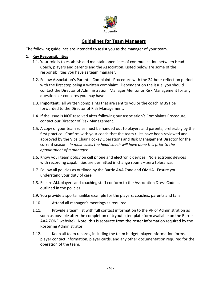

## **Guidelines for Team Managers**

<span id="page-45-0"></span>The following guidelines are intended to assist you as the manager of your team.

#### **1. Key Responsibilities**

- 1.1. Your role is to establish and maintain open lines of communication between Head Coach, players and parents and the Association. Listed below are some of the responsibilities you have as team manager.
- 1.2. Follow Association's Parental Complaints Procedure with the 24-hour reflection period with the first step being a written complaint. Dependent on the issue, you should contact the Director of Administration, Manager Mentor or Risk Management for any questions or concerns you may have.
- 1.3. **Important**: all written complaints that are sent to you or the coach **MUST** be forwarded to the Director of Risk Management.
- 1.4. If the issue is **NOT** resolved after following our Association's Complaints Procedure, contact our Director of Risk Management.
- 1.5. A copy of your team rules must be handed out to players and parents, preferably by the first practice. Confirm with your coach that the team rules have been reviewed and approved by the Vice Chair Hockey Operations and Risk Management Director for the current season. *In most cases the head coach will have done this prior to the appointment of a manager.*
- 1.6. Know your team policy on cell phone and electronic devices. No electronic devices with recording capabilities are permitted in change rooms – zero tolerance.
- 1.7. Follow all policies as outlined by the Barrie AAA Zone and OMHA. Ensure you understand your duty of care.
- 1.8. Ensure **ALL** players and coaching staff conform to the Association Dress Code as outlined in the policies.
- 1.9. You provide a sportsmanlike example for the players, coaches, parents and fans.
- 1.10. Attend all manager's meetings as required.
- 1.11. Provide a team list with full contact information to the VP of Administration as soon as possible after the completion of tryouts (template form available on the Barrie AAA ZONE website). Note: this is separate from the roster information required by the Rostering Administrator.
- 1.12. Keep all team records, including the team budget, player information forms, player contact information, player cards, and any other documentation required for the operation of the team.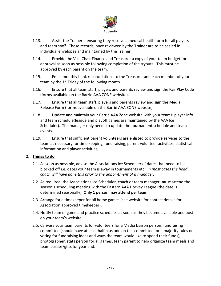

- 1.13. Assist the Trainer if ensuring they receive a medical health form for all players and team staff. These records, once reviewed by the Trainer are to be sealed in individual envelopes and maintained by the Trainer.
- 1.14. Provide the Vice Chair Finance and Treasurer a copy of your team budget for approval as soon as possible following completion of the tryouts. This must be approved by each parent on the team.
- 1.15. Email monthly bank reconciliations to the Treasurer and each member of your team by the 1<sup>st</sup> Friday of the following month.
- 1.16. Ensure that all team staff, players and parents review and sign the Fair Play Code (forms available on the Barrie AAA ZONE website).
- 1.17. Ensure that all team staff, players and parents review and sign the Media Release Form (forms available on the Barrie AAA ZONE website).
- 1.18. Update and maintain your Barrie AAA Zone website with your teams' player info and team schedule(league and playoff games are maintained by the AAA Ice Scheduler). The manager only needs to update the tournament schedule and team events.
- 1.19. Ensure that sufficient parent volunteers are enlisted to provide services to the team as necessary for time keeping, fund raising, parent volunteer activities, statistical information and player activities;

#### **2. Things to do**

- 2.1. As soon as possible, advise the Associations Ice Scheduler of dates that need to be blocked off i.e. dates your team is away in tournaments etc. *In most cases the head coach will have done this prior to the appointment of a manager.*
- 2.2. As required, the Associations Ice Scheduler, coach or team manager, **must** attend the season's scheduling meeting with the Eastern AAA Hockey League (the date is determined seasonally). **Only 1 person may attend per team**.
- 2.3. Arrange for a timekeeper for all home games (see website for contact details for Association approved timekeeper).
- 2.4. Notify team of game and practice schedules as soon as they become available and post on your team's website.
- 2.5. Canvass your team parents for volunteers for a Media Liaison person, fundraising committee (should have at least half plus one on this committee for a majority rules on voting for fundraising ideas and ways the team would like to spend their funds), photographer, stats person for all games, team parent to help organize team meals and team parties/gifts for year end.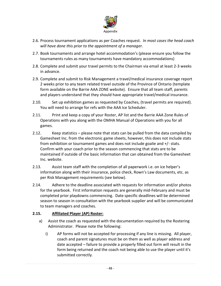

- 2.6. Process tournament applications as per Coaches request. *In most cases the head coach will have done this prior to the appointment of a manager.*
- 2.7. Book tournaments and arrange hotel accommodation's (please ensure you follow the tournaments rules as many tournaments have mandatory accommodations)
- 2.8. Complete and submit your travel permits to the Chairman via email at least 2-3 weeks in advance.
- 2.9. Complete and submit to Risk Management a travel/medical insurance coverage report 2 weeks prior to any team related travel outside of the Province of Ontario (template form available on the Barrie AAA ZONE website). Ensure that all team staff, parents and players understand that they should have appropriate travel/medical insurance.
- 2.10. Set up exhibition games as requested by Coaches, (travel permits are required). You will need to arrange for refs with the AAA Ice Scheduler.
- 2.11. Print and keep a copy of your Roster, AP list and the Barrie AAA Zone Rules of Operations with you along with the OMHA Manual of Operations with you for all games.
- 2.12. Keep statistics please note that stats can be pulled from the data compiled by Gamesheet Inc. from the electronic game sheets, however, this does not include stats from exhibition or tournament games and does not include goalie and +/- stats. Confirm with your coach prior to the season commencing that stats are to be maintained if outside of the basic information that can obtained from the Gamesheet Inc. website.
- 2.13. Assist team staff with the completion of all paperwork i.e. on ice helper's information along with their insurance, police check, Rown's Law documents, etc. as per Risk Management requirements (see below).
- 2.14. Adhere to the deadline associated with requests for information and/or photos for the yearbook. First information requests are generally mid-February and must be completed prior playdowns commencing. Date specific deadlines will be determined season to season in consultation with the yearbook supplier and will be communicated to team managers and coaches.

#### **2.15. Affiliated Player (AP) Roster:**

- a) Assist the coach as requested with the documentation required by the Rostering Administrator. Please note the following:
	- i) AP forms will not be accepted for processing if any line is missing. All player, coach and parent signatures must be on them as well as player address and date accepted – failure to provide a properly filled out form will result in the form being returned and the coach not being able to use the player until it's submitted correctly.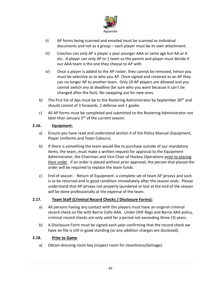

- ii) AP forms being scanned and emailed must be scanned as individual documents and not as a group – each player must be its own attachment.
- iii) Coaches can only AP a player a year younger AAA or same age but AA or A etc. A player can only AP to 1 team so the parent and player must decide if our AAA team is the one they choose to AP with
- iv) Once a player is added to the AP roster, they cannot be removed, hence you must be selective as to who you AP. Once signed and rostered as an AP they can no longer AP to another team. Only 19 AP players are allowed and you cannot switch any at deadline (be sure who you want because it can't be changed after the fact). No swapping out for new ones.
- b) The first list of Aps must be to the Rostering Administrator by September 30<sup>th</sup> and should consist of 3 forwards, 2 defense and 1 goalie.
- c) All AP forms must be completed and submitted to the Rostering Administrator not later than January  $5<sup>th</sup>$  of the current season.

#### **2.16. Equipment:**

- a) Ensure you have read and understand section 4 of the Policy Manual (Equipment, Player Uniforms and Team Colours).
- b) If there is something the team would like to purchase outside of our mandatory items, the team, must make a written request for approval to the Equipment Administrator, the Chairman and Vice Chair of Hockey Operations prior to placing their order. If an order is placed without prior approval, the person that placed the order will be required to replace the team funds.
- c) End of season Return of Equipment: a complete set of team AP jerseys and sock is to be returned and in good condition immediately after the season ends. Please understand that AP jerseys not properly laundered or lost at the end of the season will be done professionally at the expense of the team.

#### **2.17. Team Staff (Criminal Record Checks / Disclosure Forms):**

- a) All persons having any contact with the players must have an original criminal record check on file with Barrie Colts AAA. Under OHF Regs and Barrie AAA policy, criminal record checks are only valid for a period not exceeding three (3) years.
- b) A Disclosure Form must be signed each year confirming that the record check we have on file is still in good standing (or any addition charges are disclosed).

#### **2.18. Prior to Game**

a) Obtain dressing room key (inspect room for cleanliness/damage).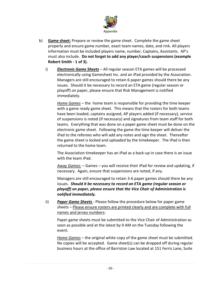

- b) **Game sheet:** Prepare or review the game sheet. Complete the game sheet properly and ensure game number, exact team names, date, and rink. All players information must be included players name, number, Captains, Assistants. AP's must also include. **Do not forget to add any player/coach suspensions (example Robert Smith - 1 of 3).**
	- i) *Electronic Game Sheets* All regular season ETA games will be processed electronically using Gamesheet Inc. and an iPad provided by the Association. Managers are still encouraged to retain 6 paper games should there be any issues. Should it be necessary to record an ETA game (regular season or playoff) on paper, please ensure that Risk Management is notified immediately.

*Home Games* – the home team is responsible for providing the time keeper with a game ready game sheet. This means that the rosters for both teams have been loaded, captains assigned, AP players added (if necessary), service of suspensions is noted (if necessary) and signatures from team staff for both teams. Everything that was done on a paper game sheet must be done on the electronic game sheet. Following the game the time keeper will deliver the iPad to the referees who will add any notes and sign the sheet. Thereafter the game sheet is locked and uploaded by the timekeeper. The iPad is then returned to the home team.

The Association timekeeper has an iPad as a back-up in case there is an issue with the team iPad.

*Away Games:* – Games – you will receive their iPad for review and updating, if necessary. Again, ensure that suspensions are noted, if any.

Managers are still encouraged to retain 3-6 paper games should there be any issues. *Should it be necessary to record an ETA game (regular season or playoff) on paper, please ensure that the Vice Chair of Administration is notified immediately.*

ii) *Paper Game Sheets* - Please follow the procedure below for paper game sheets – Please ensure rosters are printed clearly and are complete with full names and jersey numbers:

Paper game sheets must be submitted to the Vice Chair of Administration as soon as possible and at the latest by 9 AM on the Tuesday following the event.

*Home Games* – the original white copy of the game sheet must be submitted. No copies will be accepted. Game sheet(s) can be dropped off during regular business hours at the office of Barriston Law located at 151 Ferris Lane, Suite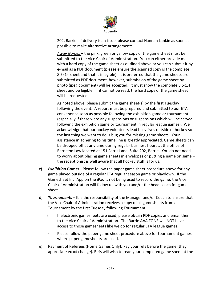

202, Barrie. If delivery is an issue, please contact Hannah Lankin as soon as possible to make alternative arrangements.

*Away Games* – the pink, green or yellow copy of the game sheet must be submitted to the Vice Chair of Administration. You can either provide me with a hard copy of the game sheet as outlined above or you can submit it by e-mail as a PDF document (please ensure the scanned copy is the complete 8.5x14 sheet and that it is legible). It is preferred that the game sheets are submitted as PDF document, however, submission of the game sheet by photo (jpeg document) will be accepted. It must show the complete 8.5x14 sheet and be legible. If it cannot be read, the hard copy of the game sheet will be requested.

As noted above, please submit the game sheet(s) by the first Tuesday following the event. A report must be prepared and submitted to our ETA convenor as soon as possible following the exhibition game or tournament (especially if there were any suspensions or suspensions which will be served following the exhibition game or tournament in regular league games). We acknowledge that our hockey volunteers lead busy lives outside of hockey so the last thing we want to do is bug you for missing game sheets. Your assistance in adhering to his time line is greatly appreciated. Game sheets can be dropped off at any time during regular business hours at the office of Barriston Law located at 151 Ferris Lane, Suite 202, Barrie. You do not need to worry about placing game sheets in envelopes or putting a name on same – the receptionist is well aware that all hockey stuff is for us.

- c) *Exhibition Games* Please follow the paper game sheet procedure above for any game played outside of a regular ETA regular season game or playdown. If the Gamesheet Inc. App on the iPad is not being used to record the game, the Vice Chair of Administration will follow up with you and/or the head coach for game sheet.
- d) *Tournaments* It is the responsibility of the Manager and/or Coach to ensure that the Vice Chair of Administration receives a copy of all gamesheets from a Tournament by the first Tuesday following Tournament.
	- i) If electronic gamesheets are used, please obtain PDF copies and email them to the Vice Chair of Administration. The Barrie AAA ZONE will NOT have access to those gamesheets like we do for regular ETA league games.
	- ii) Please follow the paper game sheet procedure above for tournament games where paper gamesheets are used.
- e) Payment of Referees (Home Games Only): Pay your refs before the game (they appreciate exact change). Refs will wish to read your completed game sheet at the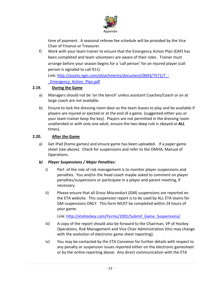

time of payment. A seasonal referee fee schedule will be provided by the Vice Chair of Finance or Treasurer.

f) Work with your team trainer to ensure that the Emergency Action Plan (EAP) has been completed and team volunteers are aware of their roles. Trainer must arrange before your season begins for a 'call person' for an injured player (call person is signaled to call 911).

Link: [http://assets.ngin.com/attachments/document/0043/7571/7\\_-](http://assets.ngin.com/attachments/document/0043/7571/7_-_Emergency_Action_Plan.pdf) [\\_Emergency\\_Action\\_Plan.pdf](http://assets.ngin.com/attachments/document/0043/7571/7_-_Emergency_Action_Plan.pdf)

#### **2.19. During the Game**

- a) Managers should not be 'on the bench' unless assistant Coaches/Coach or an at large coach are not available.
- b) Ensure to lock the dressing room door as the team leaves to play and be available if players are injured or ejected or at the end of a game. (suggested either you or your team trainer keep the key). Players are not permitted in the dressing room unattended or with only one adult, ensure the two deep rule is obeyed at **ALL** times).

#### **2.20. After the Game**

a) Get iPad (home games) and ensure game has been uploaded. If a paper game sheet (see above). Check for suspensions and refer to the OMHA, Manual of Operations.

#### *b) Player Suspensions / Major Penalties:*

- i) Part of the role of risk management is to monitor player suspensions and penalties. You and/or the head coach maybe asked to comment on player penalties/suspensions or participate in a player and parent meeting, if necessary.
- ii) Please ensure that all Gross Misconduct (GM) suspensions are reported on the ETA website. This suspension report is to be used by ALL ETA teams for GM suspensions ONLY. This form MUST be completed within 24 hours of your game.

Link: [http://etahockey.com/Forms/1001/Submit\\_Game\\_Suspensions/](http://etahockey.com/Forms/1001/Submit_Game_Suspensions/)

- iii) A copy of the report should also be forward to the Chairman, VP of Hockey Operations, Risk Management and Vice Chair Administration (this may change with the evolution of electronic game sheet reporting).
- iv) You may be contacted by the ETA Convenor for further details with respect to any penalty or suspension issues reported either on the electronic gamesheet or by the online reporting above. Any direct communication with the ETA